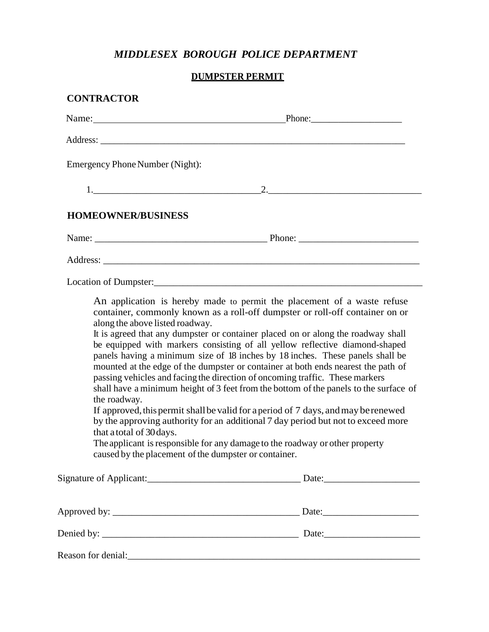## *MIDDLESEX BOROUGH POLICE DEPARTMENT*

## **DUMPSTER PERMIT**

## **CONTRACTOR**

| Name: $\frac{1}{\sqrt{1-\frac{1}{2}} \cdot \frac{1}{2}}$                                                                                                                                                                                                                                             |                                                                                                                                                                                                                                                                                                                                                                                                                                                                                                                                                                                                                                                                                                                                                                     |
|------------------------------------------------------------------------------------------------------------------------------------------------------------------------------------------------------------------------------------------------------------------------------------------------------|---------------------------------------------------------------------------------------------------------------------------------------------------------------------------------------------------------------------------------------------------------------------------------------------------------------------------------------------------------------------------------------------------------------------------------------------------------------------------------------------------------------------------------------------------------------------------------------------------------------------------------------------------------------------------------------------------------------------------------------------------------------------|
| Address:                                                                                                                                                                                                                                                                                             |                                                                                                                                                                                                                                                                                                                                                                                                                                                                                                                                                                                                                                                                                                                                                                     |
| Emergency Phone Number (Night):                                                                                                                                                                                                                                                                      |                                                                                                                                                                                                                                                                                                                                                                                                                                                                                                                                                                                                                                                                                                                                                                     |
|                                                                                                                                                                                                                                                                                                      | 2.                                                                                                                                                                                                                                                                                                                                                                                                                                                                                                                                                                                                                                                                                                                                                                  |
| <b>HOMEOWNER/BUSINESS</b>                                                                                                                                                                                                                                                                            |                                                                                                                                                                                                                                                                                                                                                                                                                                                                                                                                                                                                                                                                                                                                                                     |
|                                                                                                                                                                                                                                                                                                      |                                                                                                                                                                                                                                                                                                                                                                                                                                                                                                                                                                                                                                                                                                                                                                     |
|                                                                                                                                                                                                                                                                                                      |                                                                                                                                                                                                                                                                                                                                                                                                                                                                                                                                                                                                                                                                                                                                                                     |
|                                                                                                                                                                                                                                                                                                      |                                                                                                                                                                                                                                                                                                                                                                                                                                                                                                                                                                                                                                                                                                                                                                     |
| along the above listed roadway.<br>passing vehicles and facing the direction of oncoming traffic. These markers<br>the roadway.<br>that a total of 30 days.<br>The applicant is responsible for any damage to the roadway or other property<br>caused by the placement of the dumpster or container. | An application is hereby made to permit the placement of a waste refuse<br>container, commonly known as a roll-off dumpster or roll-off container on or<br>It is agreed that any dumpster or container placed on or along the roadway shall<br>be equipped with markers consisting of all yellow reflective diamond-shaped<br>panels having a minimum size of 18 inches by 18 inches. These panels shall be<br>mounted at the edge of the dumpster or container at both ends nearest the path of<br>shall have a minimum height of 3 feet from the bottom of the panels to the surface of<br>If approved, this permit shall be valid for a period of 7 days, and may be renewed<br>by the approving authority for an additional 7 day period but not to exceed more |
|                                                                                                                                                                                                                                                                                                      |                                                                                                                                                                                                                                                                                                                                                                                                                                                                                                                                                                                                                                                                                                                                                                     |
|                                                                                                                                                                                                                                                                                                      |                                                                                                                                                                                                                                                                                                                                                                                                                                                                                                                                                                                                                                                                                                                                                                     |

Reason for denial:\_\_\_\_\_\_\_\_\_\_\_\_\_\_\_\_\_\_\_\_\_\_\_\_\_\_\_\_\_\_\_\_\_\_\_\_\_\_\_\_\_\_\_\_\_\_\_\_\_\_\_\_\_\_\_\_\_\_\_\_\_